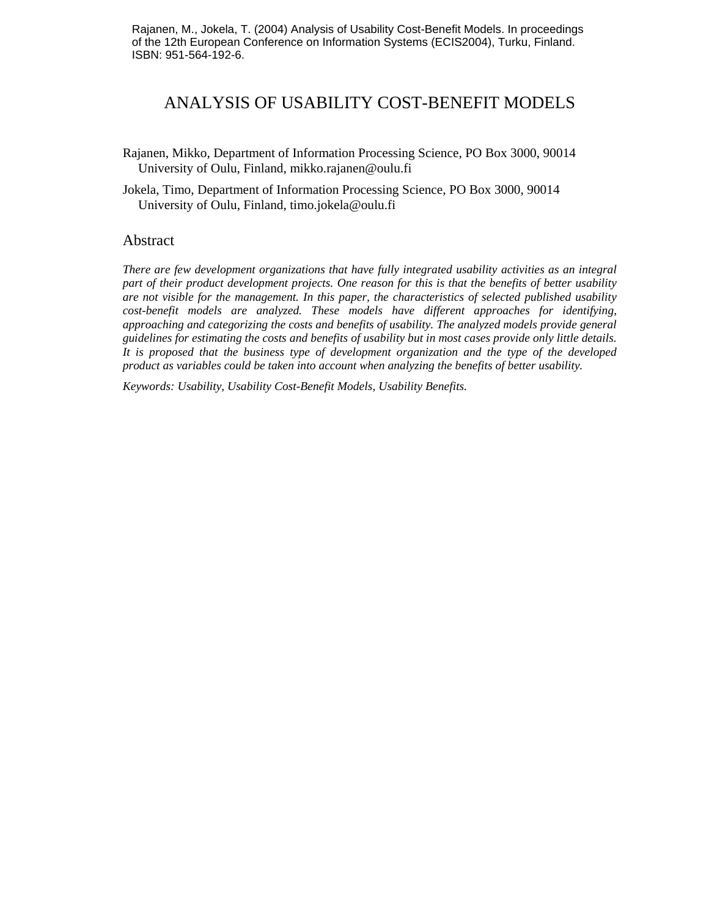Rajanen, M., Jokela, T. (2004) Analysis of Usability Cost-Benefit Models. In proceedings of the 12th European Conference on Information Systems (ECIS2004), Turku, Finland. ISBN: 951-564-192-6.

# ANALYSIS OF USABILITY COST-BENEFIT MODELS

Rajanen, Mikko, Department of Information Processing Science, PO Box 3000, 90014 University of Oulu, Finland, mikko.rajanen@oulu.fi

Jokela, Timo, Department of Information Processing Science, PO Box 3000, 90014 University of Oulu, Finland, timo.jokela@oulu.fi

# Abstract

*There are few development organizations that have fully integrated usability activities as an integral part of their product development projects. One reason for this is that the benefits of better usability are not visible for the management. In this paper, the characteristics of selected published usability cost-benefit models are analyzed. These models have different approaches for identifying, approaching and categorizing the costs and benefits of usability. The analyzed models provide general guidelines for estimating the costs and benefits of usability but in most cases provide only little details. It is proposed that the business type of development organization and the type of the developed product as variables could be taken into account when analyzing the benefits of better usability.* 

*Keywords: Usability, Usability Cost-Benefit Models, Usability Benefits.*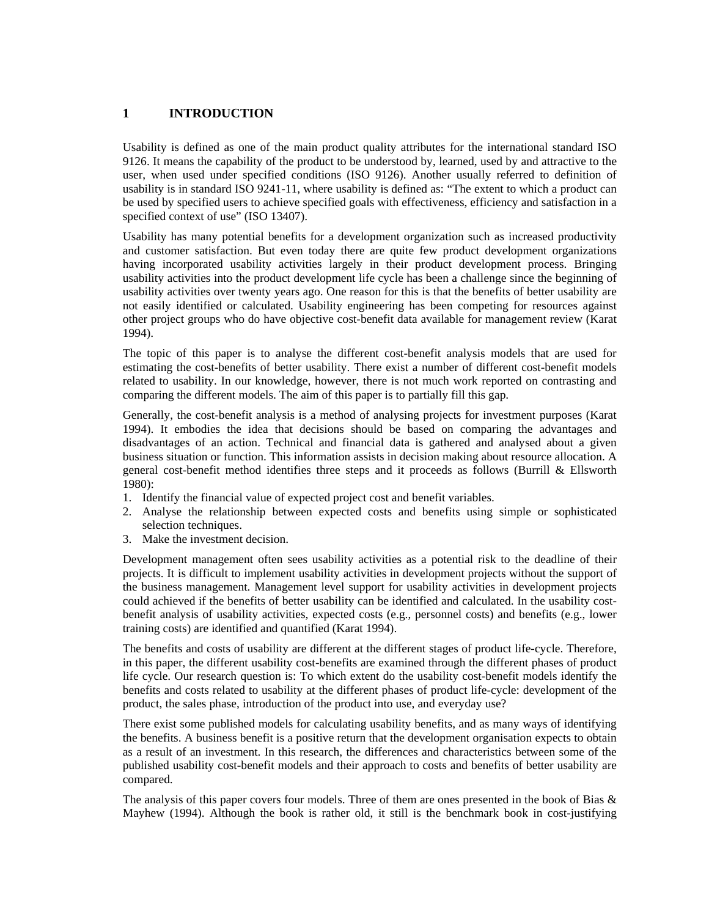# **1 INTRODUCTION**

Usability is defined as one of the main product quality attributes for the international standard ISO 9126. It means the capability of the product to be understood by, learned, used by and attractive to the user, when used under specified conditions (ISO 9126). Another usually referred to definition of usability is in standard ISO 9241-11, where usability is defined as: "The extent to which a product can be used by specified users to achieve specified goals with effectiveness, efficiency and satisfaction in a specified context of use" (ISO 13407).

Usability has many potential benefits for a development organization such as increased productivity and customer satisfaction. But even today there are quite few product development organizations having incorporated usability activities largely in their product development process. Bringing usability activities into the product development life cycle has been a challenge since the beginning of usability activities over twenty years ago. One reason for this is that the benefits of better usability are not easily identified or calculated. Usability engineering has been competing for resources against other project groups who do have objective cost-benefit data available for management review (Karat 1994).

The topic of this paper is to analyse the different cost-benefit analysis models that are used for estimating the cost-benefits of better usability. There exist a number of different cost-benefit models related to usability. In our knowledge, however, there is not much work reported on contrasting and comparing the different models. The aim of this paper is to partially fill this gap.

Generally, the cost-benefit analysis is a method of analysing projects for investment purposes (Karat 1994). It embodies the idea that decisions should be based on comparing the advantages and disadvantages of an action. Technical and financial data is gathered and analysed about a given business situation or function. This information assists in decision making about resource allocation. A general cost-benefit method identifies three steps and it proceeds as follows (Burrill & Ellsworth 1980):

- 1. Identify the financial value of expected project cost and benefit variables.
- 2. Analyse the relationship between expected costs and benefits using simple or sophisticated selection techniques.
- 3. Make the investment decision.

Development management often sees usability activities as a potential risk to the deadline of their projects. It is difficult to implement usability activities in development projects without the support of the business management. Management level support for usability activities in development projects could achieved if the benefits of better usability can be identified and calculated. In the usability costbenefit analysis of usability activities, expected costs (e.g., personnel costs) and benefits (e.g., lower training costs) are identified and quantified (Karat 1994).

The benefits and costs of usability are different at the different stages of product life-cycle. Therefore, in this paper, the different usability cost-benefits are examined through the different phases of product life cycle. Our research question is: To which extent do the usability cost-benefit models identify the benefits and costs related to usability at the different phases of product life-cycle: development of the product, the sales phase, introduction of the product into use, and everyday use?

There exist some published models for calculating usability benefits, and as many ways of identifying the benefits. A business benefit is a positive return that the development organisation expects to obtain as a result of an investment. In this research, the differences and characteristics between some of the published usability cost-benefit models and their approach to costs and benefits of better usability are compared.

The analysis of this paper covers four models. Three of them are ones presented in the book of Bias  $\&$ Mayhew (1994). Although the book is rather old, it still is the benchmark book in cost-justifying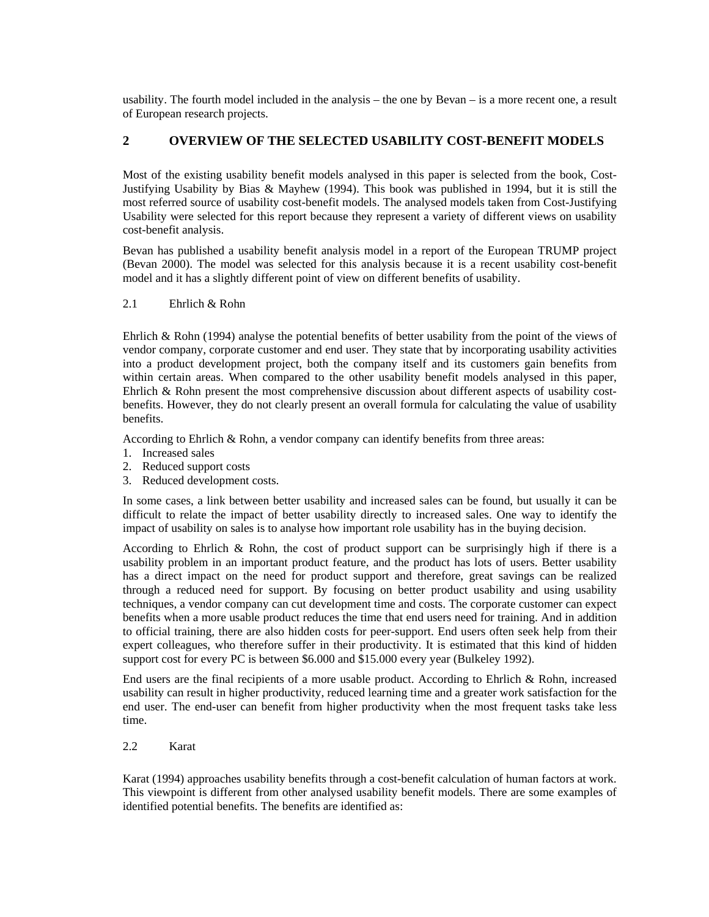usability. The fourth model included in the analysis – the one by Bevan – is a more recent one, a result of European research projects.

# **2 OVERVIEW OF THE SELECTED USABILITY COST-BENEFIT MODELS**

Most of the existing usability benefit models analysed in this paper is selected from the book, Cost-Justifying Usability by Bias & Mayhew (1994). This book was published in 1994, but it is still the most referred source of usability cost-benefit models. The analysed models taken from Cost-Justifying Usability were selected for this report because they represent a variety of different views on usability cost-benefit analysis.

Bevan has published a usability benefit analysis model in a report of the European TRUMP project (Bevan 2000). The model was selected for this analysis because it is a recent usability cost-benefit model and it has a slightly different point of view on different benefits of usability.

# 2.1 Ehrlich & Rohn

Ehrlich & Rohn (1994) analyse the potential benefits of better usability from the point of the views of vendor company, corporate customer and end user. They state that by incorporating usability activities into a product development project, both the company itself and its customers gain benefits from within certain areas. When compared to the other usability benefit models analysed in this paper, Ehrlich & Rohn present the most comprehensive discussion about different aspects of usability costbenefits. However, they do not clearly present an overall formula for calculating the value of usability benefits.

According to Ehrlich & Rohn, a vendor company can identify benefits from three areas:

- 1. Increased sales
- 2. Reduced support costs
- 3. Reduced development costs.

In some cases, a link between better usability and increased sales can be found, but usually it can be difficult to relate the impact of better usability directly to increased sales. One way to identify the impact of usability on sales is to analyse how important role usability has in the buying decision.

According to Ehrlich & Rohn, the cost of product support can be surprisingly high if there is a usability problem in an important product feature, and the product has lots of users. Better usability has a direct impact on the need for product support and therefore, great savings can be realized through a reduced need for support. By focusing on better product usability and using usability techniques, a vendor company can cut development time and costs. The corporate customer can expect benefits when a more usable product reduces the time that end users need for training. And in addition to official training, there are also hidden costs for peer-support. End users often seek help from their expert colleagues, who therefore suffer in their productivity. It is estimated that this kind of hidden support cost for every PC is between \$6.000 and \$15.000 every year (Bulkeley 1992).

End users are the final recipients of a more usable product. According to Ehrlich & Rohn, increased usability can result in higher productivity, reduced learning time and a greater work satisfaction for the end user. The end-user can benefit from higher productivity when the most frequent tasks take less time.

2.2 Karat

Karat (1994) approaches usability benefits through a cost-benefit calculation of human factors at work. This viewpoint is different from other analysed usability benefit models. There are some examples of identified potential benefits. The benefits are identified as: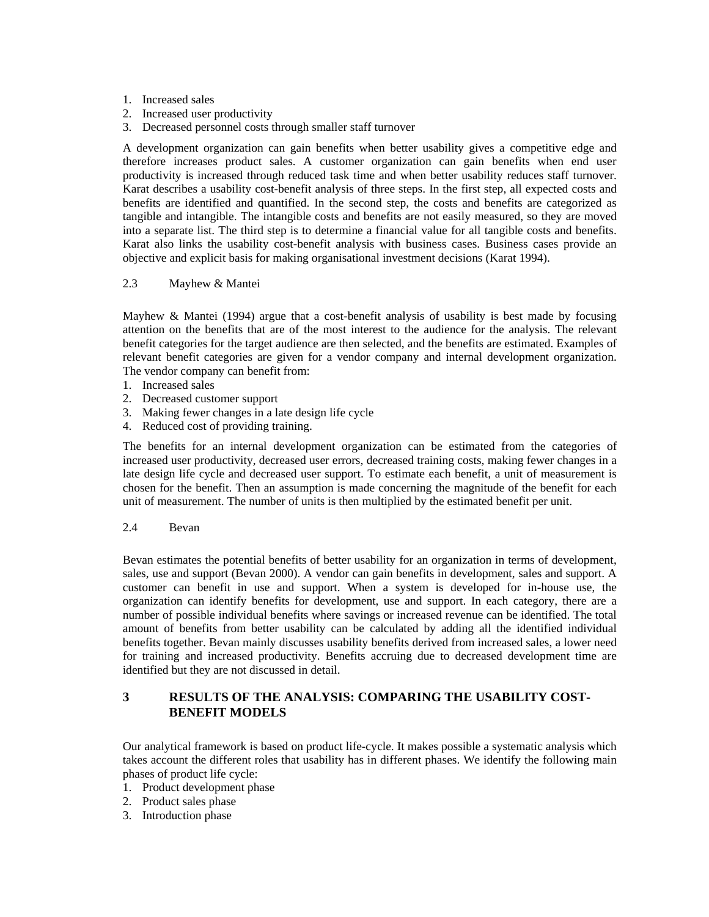- 1. Increased sales
- 2. Increased user productivity
- 3. Decreased personnel costs through smaller staff turnover

A development organization can gain benefits when better usability gives a competitive edge and therefore increases product sales. A customer organization can gain benefits when end user productivity is increased through reduced task time and when better usability reduces staff turnover. Karat describes a usability cost-benefit analysis of three steps. In the first step, all expected costs and benefits are identified and quantified. In the second step, the costs and benefits are categorized as tangible and intangible. The intangible costs and benefits are not easily measured, so they are moved into a separate list. The third step is to determine a financial value for all tangible costs and benefits. Karat also links the usability cost-benefit analysis with business cases. Business cases provide an objective and explicit basis for making organisational investment decisions (Karat 1994).

#### 2.3 Mayhew & Mantei

Mayhew & Mantei (1994) argue that a cost-benefit analysis of usability is best made by focusing attention on the benefits that are of the most interest to the audience for the analysis. The relevant benefit categories for the target audience are then selected, and the benefits are estimated. Examples of relevant benefit categories are given for a vendor company and internal development organization. The vendor company can benefit from:

- 1. Increased sales
- 2. Decreased customer support
- 3. Making fewer changes in a late design life cycle
- 4. Reduced cost of providing training.

The benefits for an internal development organization can be estimated from the categories of increased user productivity, decreased user errors, decreased training costs, making fewer changes in a late design life cycle and decreased user support. To estimate each benefit, a unit of measurement is chosen for the benefit. Then an assumption is made concerning the magnitude of the benefit for each unit of measurement. The number of units is then multiplied by the estimated benefit per unit.

#### 2.4 Bevan

Bevan estimates the potential benefits of better usability for an organization in terms of development, sales, use and support (Bevan 2000). A vendor can gain benefits in development, sales and support. A customer can benefit in use and support. When a system is developed for in-house use, the organization can identify benefits for development, use and support. In each category, there are a number of possible individual benefits where savings or increased revenue can be identified. The total amount of benefits from better usability can be calculated by adding all the identified individual benefits together. Bevan mainly discusses usability benefits derived from increased sales, a lower need for training and increased productivity. Benefits accruing due to decreased development time are identified but they are not discussed in detail.

# **3 RESULTS OF THE ANALYSIS: COMPARING THE USABILITY COST-BENEFIT MODELS**

Our analytical framework is based on product life-cycle. It makes possible a systematic analysis which takes account the different roles that usability has in different phases. We identify the following main phases of product life cycle:

- 1. Product development phase
- 2. Product sales phase
- 3. Introduction phase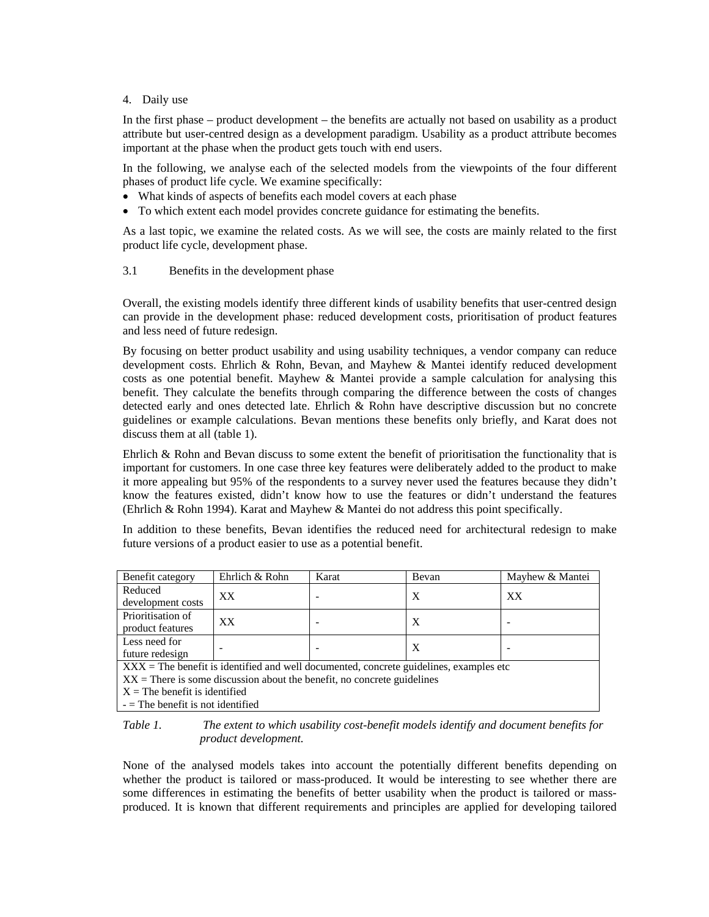#### 4. Daily use

In the first phase – product development – the benefits are actually not based on usability as a product attribute but user-centred design as a development paradigm. Usability as a product attribute becomes important at the phase when the product gets touch with end users.

In the following, we analyse each of the selected models from the viewpoints of the four different phases of product life cycle. We examine specifically:

- What kinds of aspects of benefits each model covers at each phase
- To which extent each model provides concrete guidance for estimating the benefits.

As a last topic, we examine the related costs. As we will see, the costs are mainly related to the first product life cycle, development phase.

#### 3.1 Benefits in the development phase

Overall, the existing models identify three different kinds of usability benefits that user-centred design can provide in the development phase: reduced development costs, prioritisation of product features and less need of future redesign.

By focusing on better product usability and using usability techniques, a vendor company can reduce development costs. Ehrlich & Rohn, Bevan, and Mayhew & Mantei identify reduced development costs as one potential benefit. Mayhew & Mantei provide a sample calculation for analysing this benefit. They calculate the benefits through comparing the difference between the costs of changes detected early and ones detected late. Ehrlich & Rohn have descriptive discussion but no concrete guidelines or example calculations. Bevan mentions these benefits only briefly, and Karat does not discuss them at all (table 1).

Ehrlich & Rohn and Bevan discuss to some extent the benefit of prioritisation the functionality that is important for customers. In one case three key features were deliberately added to the product to make it more appealing but 95% of the respondents to a survey never used the features because they didn't know the features existed, didn't know how to use the features or didn't understand the features (Ehrlich & Rohn 1994). Karat and Mayhew & Mantei do not address this point specifically.

In addition to these benefits, Bevan identifies the reduced need for architectural redesign to make future versions of a product easier to use as a potential benefit.

| Benefit category                                                                         | Ehrlich & Rohn | Karat | Bevan                     | Mayhew & Mantei |
|------------------------------------------------------------------------------------------|----------------|-------|---------------------------|-----------------|
| Reduced                                                                                  | XX             |       | X                         | XX              |
| development costs                                                                        |                |       |                           |                 |
| Prioritisation of                                                                        | XX             |       | $\boldsymbol{\mathrm{X}}$ |                 |
| product features                                                                         |                |       |                           |                 |
| Less need for                                                                            |                |       | X                         |                 |
| future redesign                                                                          |                |       |                           |                 |
| $XXX =$ The benefit is identified and well documented, concrete guidelines, examples etc |                |       |                           |                 |
| $XX$ = There is some discussion about the benefit, no concrete guidelines                |                |       |                           |                 |
| $X =$ The benefit is identified                                                          |                |       |                           |                 |
| $-$ The benefit is not identified                                                        |                |       |                           |                 |

*Table 1. The extent to which usability cost-benefit models identify and document benefits for product development.* 

None of the analysed models takes into account the potentially different benefits depending on whether the product is tailored or mass-produced. It would be interesting to see whether there are some differences in estimating the benefits of better usability when the product is tailored or massproduced. It is known that different requirements and principles are applied for developing tailored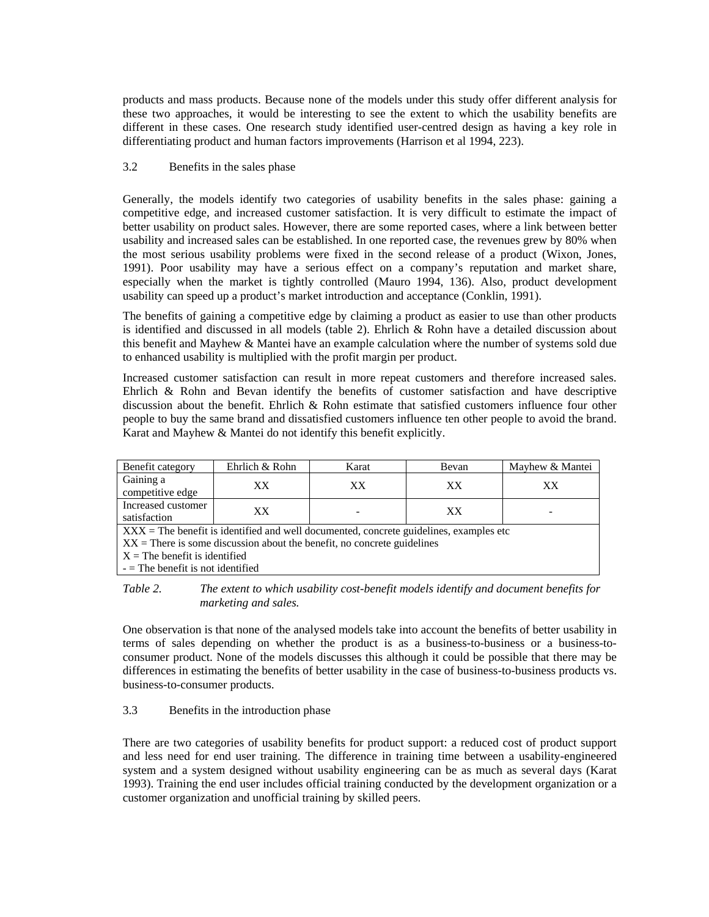products and mass products. Because none of the models under this study offer different analysis for these two approaches, it would be interesting to see the extent to which the usability benefits are different in these cases. One research study identified user-centred design as having a key role in differentiating product and human factors improvements (Harrison et al 1994, 223).

#### 3.2 Benefits in the sales phase

Generally, the models identify two categories of usability benefits in the sales phase: gaining a competitive edge, and increased customer satisfaction. It is very difficult to estimate the impact of better usability on product sales. However, there are some reported cases, where a link between better usability and increased sales can be established. In one reported case, the revenues grew by 80% when the most serious usability problems were fixed in the second release of a product (Wixon, Jones, 1991). Poor usability may have a serious effect on a company's reputation and market share, especially when the market is tightly controlled (Mauro 1994, 136). Also, product development usability can speed up a product's market introduction and acceptance (Conklin, 1991).

The benefits of gaining a competitive edge by claiming a product as easier to use than other products is identified and discussed in all models (table 2). Ehrlich & Rohn have a detailed discussion about this benefit and Mayhew & Mantei have an example calculation where the number of systems sold due to enhanced usability is multiplied with the profit margin per product.

Increased customer satisfaction can result in more repeat customers and therefore increased sales. Ehrlich & Rohn and Bevan identify the benefits of customer satisfaction and have descriptive discussion about the benefit. Ehrlich & Rohn estimate that satisfied customers influence four other people to buy the same brand and dissatisfied customers influence ten other people to avoid the brand. Karat and Mayhew & Mantei do not identify this benefit explicitly.

| Benefit category                                                                                | Ehrlich & Rohn | Karat | Bevan | Mayhew & Mantei |
|-------------------------------------------------------------------------------------------------|----------------|-------|-------|-----------------|
| Gaining a                                                                                       | XX.            | XX    | XX    | XX              |
| competitive edge                                                                                |                |       |       |                 |
| Increased customer                                                                              |                |       | XX    |                 |
| satisfaction                                                                                    | XX.            |       |       |                 |
| $\angle$ XXX = The benefit is identified and well documented, concrete guidelines, examples etc |                |       |       |                 |
| $XX$ = There is some discussion about the benefit, no concrete guidelines                       |                |       |       |                 |
| $X =$ The benefit is identified                                                                 |                |       |       |                 |
| $-$ The benefit is not identified                                                               |                |       |       |                 |

*Table 2. The extent to which usability cost-benefit models identify and document benefits for marketing and sales.* 

One observation is that none of the analysed models take into account the benefits of better usability in terms of sales depending on whether the product is as a business-to-business or a business-toconsumer product. None of the models discusses this although it could be possible that there may be differences in estimating the benefits of better usability in the case of business-to-business products vs. business-to-consumer products.

#### 3.3 Benefits in the introduction phase

There are two categories of usability benefits for product support: a reduced cost of product support and less need for end user training. The difference in training time between a usability-engineered system and a system designed without usability engineering can be as much as several days (Karat 1993). Training the end user includes official training conducted by the development organization or a customer organization and unofficial training by skilled peers.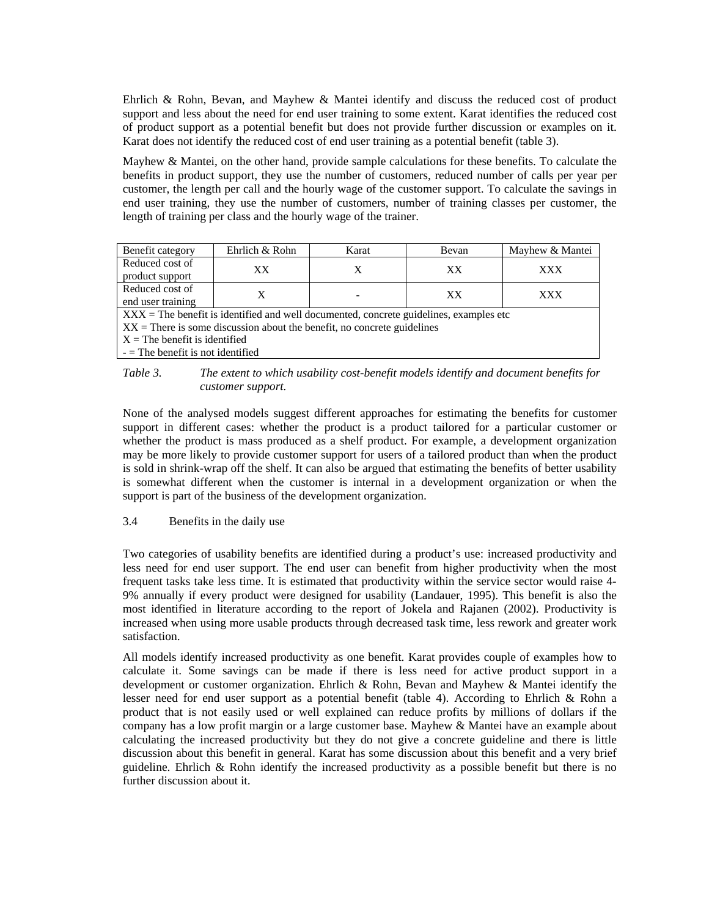Ehrlich & Rohn, Bevan, and Mayhew & Mantei identify and discuss the reduced cost of product support and less about the need for end user training to some extent. Karat identifies the reduced cost of product support as a potential benefit but does not provide further discussion or examples on it. Karat does not identify the reduced cost of end user training as a potential benefit (table 3).

Mayhew & Mantei, on the other hand, provide sample calculations for these benefits. To calculate the benefits in product support, they use the number of customers, reduced number of calls per year per customer, the length per call and the hourly wage of the customer support. To calculate the savings in end user training, they use the number of customers, number of training classes per customer, the length of training per class and the hourly wage of the trainer.

| Benefit category                                                                                    | Ehrlich & Rohn | Karat | Bevan | Mayhew & Mantei |
|-----------------------------------------------------------------------------------------------------|----------------|-------|-------|-----------------|
| Reduced cost of                                                                                     | XX             |       |       | <b>XXX</b>      |
| product support                                                                                     |                |       | XX    |                 |
| Reduced cost of                                                                                     |                |       | XX    | <b>XXX</b>      |
| end user training                                                                                   |                |       |       |                 |
| $\overline{XXX}$ = The benefit is identified and well documented, concrete guidelines, examples etc |                |       |       |                 |
| $XX$ = There is some discussion about the benefit, no concrete guidelines                           |                |       |       |                 |
| $X =$ The benefit is identified                                                                     |                |       |       |                 |

- = The benefit is not identified

#### *Table 3. The extent to which usability cost-benefit models identify and document benefits for customer support.*

None of the analysed models suggest different approaches for estimating the benefits for customer support in different cases: whether the product is a product tailored for a particular customer or whether the product is mass produced as a shelf product. For example, a development organization may be more likely to provide customer support for users of a tailored product than when the product is sold in shrink-wrap off the shelf. It can also be argued that estimating the benefits of better usability is somewhat different when the customer is internal in a development organization or when the support is part of the business of the development organization.

#### 3.4 Benefits in the daily use

Two categories of usability benefits are identified during a product's use: increased productivity and less need for end user support. The end user can benefit from higher productivity when the most frequent tasks take less time. It is estimated that productivity within the service sector would raise 4- 9% annually if every product were designed for usability (Landauer, 1995). This benefit is also the most identified in literature according to the report of Jokela and Rajanen (2002). Productivity is increased when using more usable products through decreased task time, less rework and greater work satisfaction.

All models identify increased productivity as one benefit. Karat provides couple of examples how to calculate it. Some savings can be made if there is less need for active product support in a development or customer organization. Ehrlich & Rohn, Bevan and Mayhew & Mantei identify the lesser need for end user support as a potential benefit (table 4). According to Ehrlich & Rohn a product that is not easily used or well explained can reduce profits by millions of dollars if the company has a low profit margin or a large customer base. Mayhew & Mantei have an example about calculating the increased productivity but they do not give a concrete guideline and there is little discussion about this benefit in general. Karat has some discussion about this benefit and a very brief guideline. Ehrlich & Rohn identify the increased productivity as a possible benefit but there is no further discussion about it.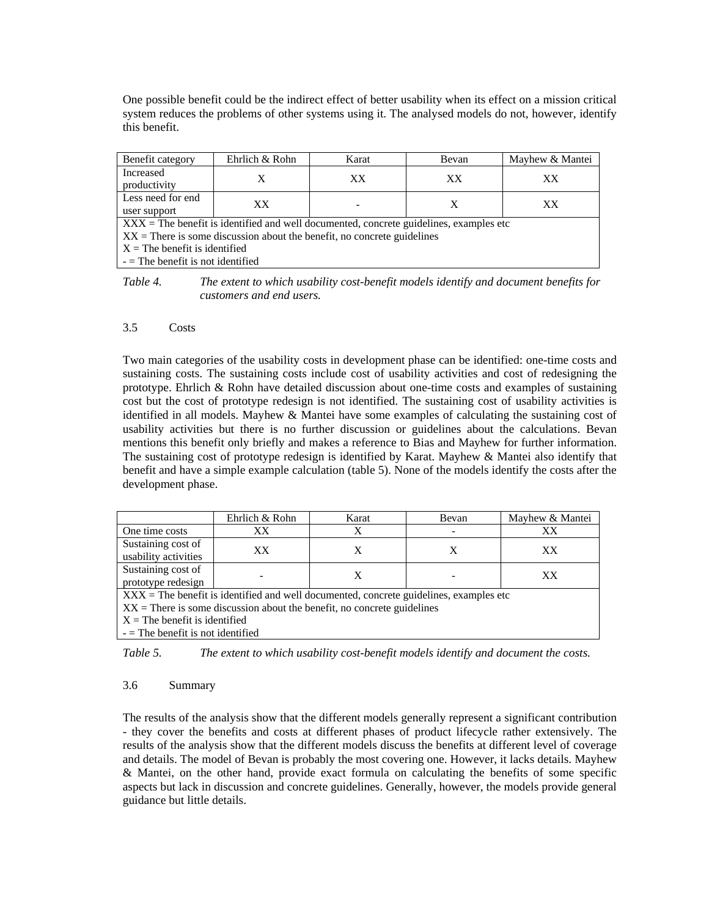One possible benefit could be the indirect effect of better usability when its effect on a mission critical system reduces the problems of other systems using it. The analysed models do not, however, identify this benefit.

| Benefit category                                                                                | Ehrlich & Rohn | Karat | Bevan | Mayhew & Mantei |
|-------------------------------------------------------------------------------------------------|----------------|-------|-------|-----------------|
| Increased<br>productivity                                                                       | X              | XX    | XX    | XX              |
| Less need for end                                                                               | XX             |       | X     | XX              |
| user support                                                                                    |                |       |       |                 |
| $\angle$ XXX = The benefit is identified and well documented, concrete guidelines, examples etc |                |       |       |                 |
| $XX =$ There is some discussion about the benefit, no concrete guidelines                       |                |       |       |                 |
| $X =$ The benefit is identified                                                                 |                |       |       |                 |
| $-$ The benefit is not identified                                                               |                |       |       |                 |

*Table 4. The extent to which usability cost-benefit models identify and document benefits for customers and end users.* 

#### 3.5 Costs

Two main categories of the usability costs in development phase can be identified: one-time costs and sustaining costs. The sustaining costs include cost of usability activities and cost of redesigning the prototype. Ehrlich & Rohn have detailed discussion about one-time costs and examples of sustaining cost but the cost of prototype redesign is not identified. The sustaining cost of usability activities is identified in all models. Mayhew & Mantei have some examples of calculating the sustaining cost of usability activities but there is no further discussion or guidelines about the calculations. Bevan mentions this benefit only briefly and makes a reference to Bias and Mayhew for further information. The sustaining cost of prototype redesign is identified by Karat. Mayhew & Mantei also identify that benefit and have a simple example calculation (table 5). None of the models identify the costs after the development phase.

|                                                                                          | Ehrlich & Rohn | Karat | Bevan | Mayhew & Mantei |
|------------------------------------------------------------------------------------------|----------------|-------|-------|-----------------|
| One time costs                                                                           | XX             |       |       | XX              |
| Sustaining cost of                                                                       | XX             |       | X     | XX              |
| usability activities                                                                     |                |       |       |                 |
| Sustaining cost of                                                                       |                |       |       | XX              |
| prototype redesign                                                                       |                |       |       |                 |
| $XXX =$ The benefit is identified and well documented, concrete guidelines, examples etc |                |       |       |                 |
| $XX$ = There is some discussion about the benefit, no concrete guidelines                |                |       |       |                 |
| $X =$ The benefit is identified                                                          |                |       |       |                 |
| $-$ The benefit is not identified                                                        |                |       |       |                 |

*Table 5. The extent to which usability cost-benefit models identify and document the costs.* 

#### 3.6 Summary

The results of the analysis show that the different models generally represent a significant contribution - they cover the benefits and costs at different phases of product lifecycle rather extensively. The results of the analysis show that the different models discuss the benefits at different level of coverage and details. The model of Bevan is probably the most covering one. However, it lacks details. Mayhew & Mantei, on the other hand, provide exact formula on calculating the benefits of some specific aspects but lack in discussion and concrete guidelines. Generally, however, the models provide general guidance but little details.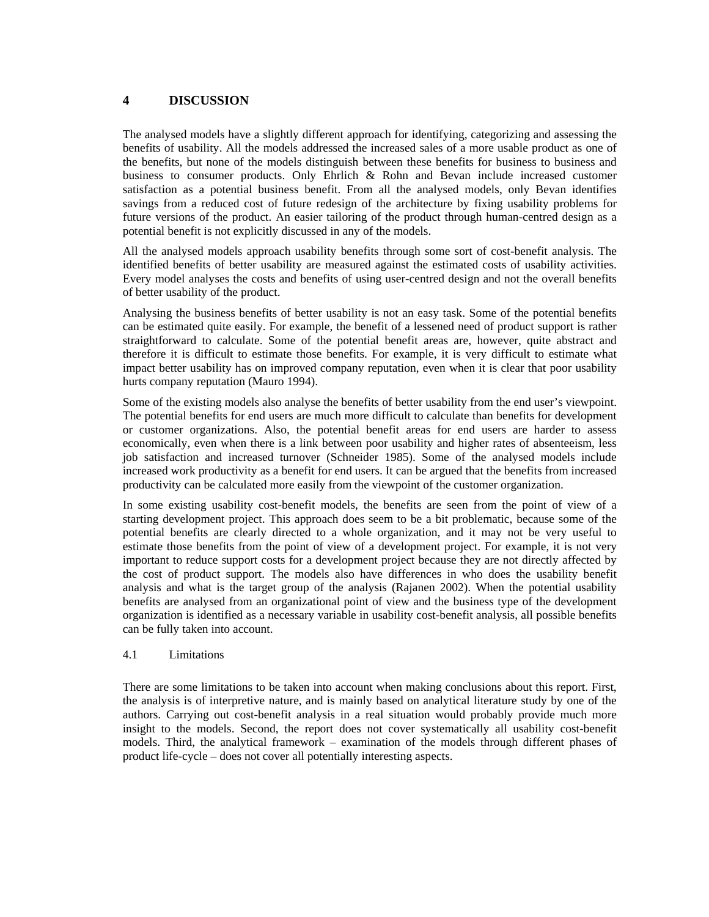# **4 DISCUSSION**

The analysed models have a slightly different approach for identifying, categorizing and assessing the benefits of usability. All the models addressed the increased sales of a more usable product as one of the benefits, but none of the models distinguish between these benefits for business to business and business to consumer products. Only Ehrlich & Rohn and Bevan include increased customer satisfaction as a potential business benefit. From all the analysed models, only Bevan identifies savings from a reduced cost of future redesign of the architecture by fixing usability problems for future versions of the product. An easier tailoring of the product through human-centred design as a potential benefit is not explicitly discussed in any of the models.

All the analysed models approach usability benefits through some sort of cost-benefit analysis. The identified benefits of better usability are measured against the estimated costs of usability activities. Every model analyses the costs and benefits of using user-centred design and not the overall benefits of better usability of the product.

Analysing the business benefits of better usability is not an easy task. Some of the potential benefits can be estimated quite easily. For example, the benefit of a lessened need of product support is rather straightforward to calculate. Some of the potential benefit areas are, however, quite abstract and therefore it is difficult to estimate those benefits. For example, it is very difficult to estimate what impact better usability has on improved company reputation, even when it is clear that poor usability hurts company reputation (Mauro 1994).

Some of the existing models also analyse the benefits of better usability from the end user's viewpoint. The potential benefits for end users are much more difficult to calculate than benefits for development or customer organizations. Also, the potential benefit areas for end users are harder to assess economically, even when there is a link between poor usability and higher rates of absenteeism, less job satisfaction and increased turnover (Schneider 1985). Some of the analysed models include increased work productivity as a benefit for end users. It can be argued that the benefits from increased productivity can be calculated more easily from the viewpoint of the customer organization.

In some existing usability cost-benefit models, the benefits are seen from the point of view of a starting development project. This approach does seem to be a bit problematic, because some of the potential benefits are clearly directed to a whole organization, and it may not be very useful to estimate those benefits from the point of view of a development project. For example, it is not very important to reduce support costs for a development project because they are not directly affected by the cost of product support. The models also have differences in who does the usability benefit analysis and what is the target group of the analysis (Rajanen 2002). When the potential usability benefits are analysed from an organizational point of view and the business type of the development organization is identified as a necessary variable in usability cost-benefit analysis, all possible benefits can be fully taken into account.

#### 4.1 Limitations

There are some limitations to be taken into account when making conclusions about this report. First, the analysis is of interpretive nature, and is mainly based on analytical literature study by one of the authors. Carrying out cost-benefit analysis in a real situation would probably provide much more insight to the models. Second, the report does not cover systematically all usability cost-benefit models. Third, the analytical framework – examination of the models through different phases of product life-cycle – does not cover all potentially interesting aspects.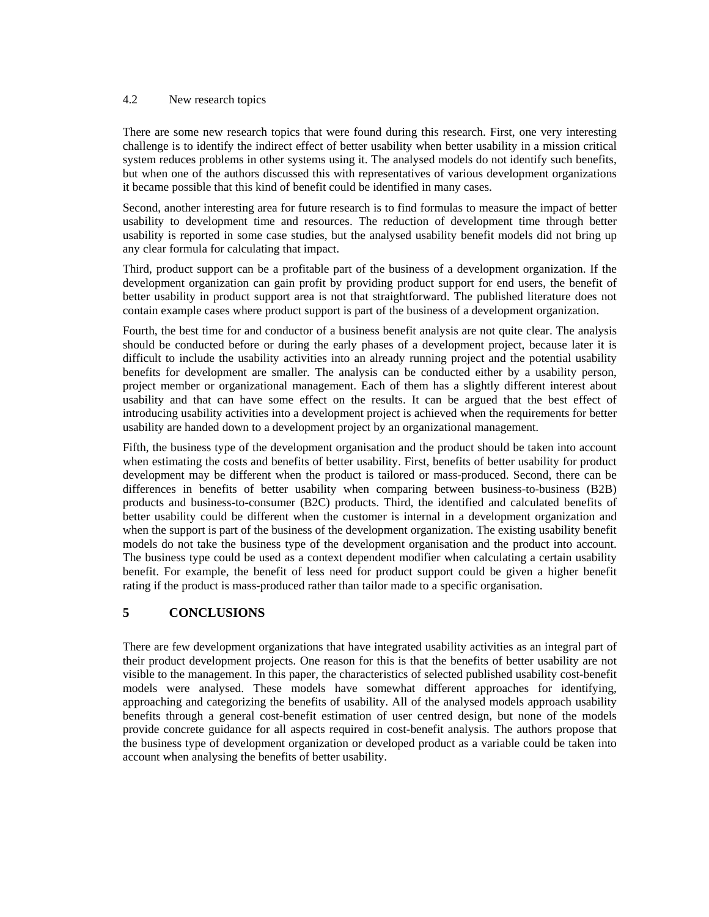#### 4.2 New research topics

There are some new research topics that were found during this research. First, one very interesting challenge is to identify the indirect effect of better usability when better usability in a mission critical system reduces problems in other systems using it. The analysed models do not identify such benefits, but when one of the authors discussed this with representatives of various development organizations it became possible that this kind of benefit could be identified in many cases.

Second, another interesting area for future research is to find formulas to measure the impact of better usability to development time and resources. The reduction of development time through better usability is reported in some case studies, but the analysed usability benefit models did not bring up any clear formula for calculating that impact.

Third, product support can be a profitable part of the business of a development organization. If the development organization can gain profit by providing product support for end users, the benefit of better usability in product support area is not that straightforward. The published literature does not contain example cases where product support is part of the business of a development organization.

Fourth, the best time for and conductor of a business benefit analysis are not quite clear. The analysis should be conducted before or during the early phases of a development project, because later it is difficult to include the usability activities into an already running project and the potential usability benefits for development are smaller. The analysis can be conducted either by a usability person, project member or organizational management. Each of them has a slightly different interest about usability and that can have some effect on the results. It can be argued that the best effect of introducing usability activities into a development project is achieved when the requirements for better usability are handed down to a development project by an organizational management.

Fifth, the business type of the development organisation and the product should be taken into account when estimating the costs and benefits of better usability. First, benefits of better usability for product development may be different when the product is tailored or mass-produced. Second, there can be differences in benefits of better usability when comparing between business-to-business (B2B) products and business-to-consumer (B2C) products. Third, the identified and calculated benefits of better usability could be different when the customer is internal in a development organization and when the support is part of the business of the development organization. The existing usability benefit models do not take the business type of the development organisation and the product into account. The business type could be used as a context dependent modifier when calculating a certain usability benefit. For example, the benefit of less need for product support could be given a higher benefit rating if the product is mass-produced rather than tailor made to a specific organisation.

# **5 CONCLUSIONS**

There are few development organizations that have integrated usability activities as an integral part of their product development projects. One reason for this is that the benefits of better usability are not visible to the management. In this paper, the characteristics of selected published usability cost-benefit models were analysed. These models have somewhat different approaches for identifying, approaching and categorizing the benefits of usability. All of the analysed models approach usability benefits through a general cost-benefit estimation of user centred design, but none of the models provide concrete guidance for all aspects required in cost-benefit analysis. The authors propose that the business type of development organization or developed product as a variable could be taken into account when analysing the benefits of better usability.